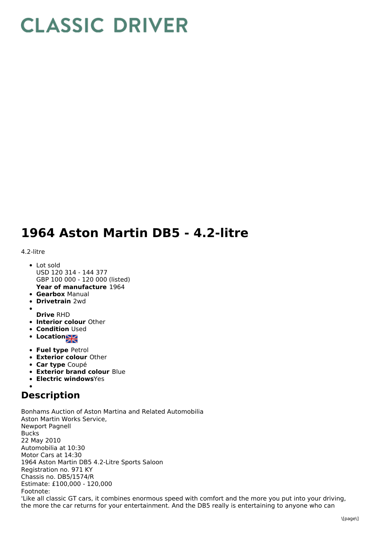## **CLASSIC DRIVER**

## **1964 Aston Martin DB5 - 4.2-litre**

## 4.2-litre

- **Year of manufacture** 1964 • Lot sold USD 120 314 - 144 377 GBP 100 000 - 120 000 (listed)
- **Gearbox** Manual
- **Drivetrain** 2wd
- 
- **Drive** RHD
- **Interior colour** Other
- **Condition Used**
- **Location**
- **Fuel type** Petrol
- **Exterior colour** Other
- **Car type** Coupé
- **Exterior brand colour** Blue
- **Electric windows**Yes

## **Description**

Bonhams Auction of Aston Martina and Related Automobilia Aston Martin Works Service, Newport Pagnell Bucks 22 May 2010 Automobilia at 10:30 Motor Cars at 14:30 1964 Aston Martin DB5 4.2-Litre Sports Saloon Registration no. 971 KY Chassis no. DB5/1574/R Estimate: £100,000 - 120,000 Footnote: 'Like all classic GT cars, it combines enormous speed with comfort and the more you put into your driving, the more the car returns for your entertainment. And the DB5 really is entertaining to anyone who can